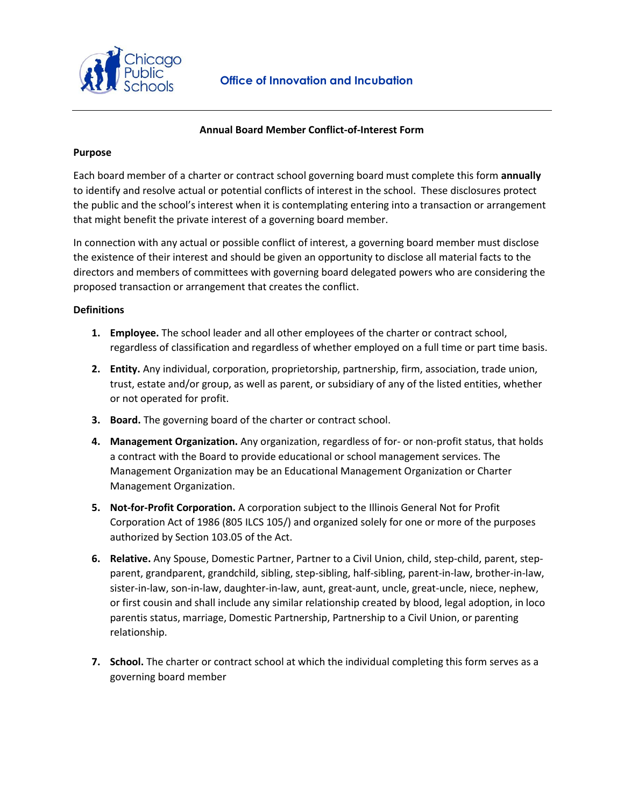

# **Annual Board Member Conflict-of-Interest Form**

# **Purpose**

Each board member of a charter or contract school governing board must complete this form **annually** to identify and resolve actual or potential conflicts of interest in the school. These disclosures protect the public and the school's interest when it is contemplating entering into a transaction or arrangement that might benefit the private interest of a governing board member.

In connection with any actual or possible conflict of interest, a governing board member must disclose the existence of their interest and should be given an opportunity to disclose all material facts to the directors and members of committees with governing board delegated powers who are considering the proposed transaction or arrangement that creates the conflict.

# **Definitions**

- **1. Employee.** The school leader and all other employees of the charter or contract school, regardless of classification and regardless of whether employed on a full time or part time basis.
- **2. Entity.** Any individual, corporation, proprietorship, partnership, firm, association, trade union, trust, estate and/or group, as well as parent, or subsidiary of any of the listed entities, whether or not operated for profit.
- **3. Board.** The governing board of the charter or contract school.
- **4. Management Organization.** Any organization, regardless of for- or non-profit status, that holds a contract with the Board to provide educational or school management services. The Management Organization may be an Educational Management Organization or Charter Management Organization.
- **5. Not-for-Profit Corporation.** A corporation subject to the Illinois General Not for Profit Corporation Act of 1986 (805 ILCS 105/) and organized solely for one or more of the purposes authorized by Section 103.05 of the Act.
- **6. Relative.** Any Spouse, Domestic Partner, Partner to a Civil Union, child, step-child, parent, stepparent, grandparent, grandchild, sibling, step-sibling, half-sibling, parent-in-law, brother-in-law, sister-in-law, son-in-law, daughter-in-law, aunt, great-aunt, uncle, great-uncle, niece, nephew, or first cousin and shall include any similar relationship created by blood, legal adoption, in loco parentis status, marriage, Domestic Partnership, Partnership to a Civil Union, or parenting relationship.
- **7. School.** The charter or contract school at which the individual completing this form serves as a governing board member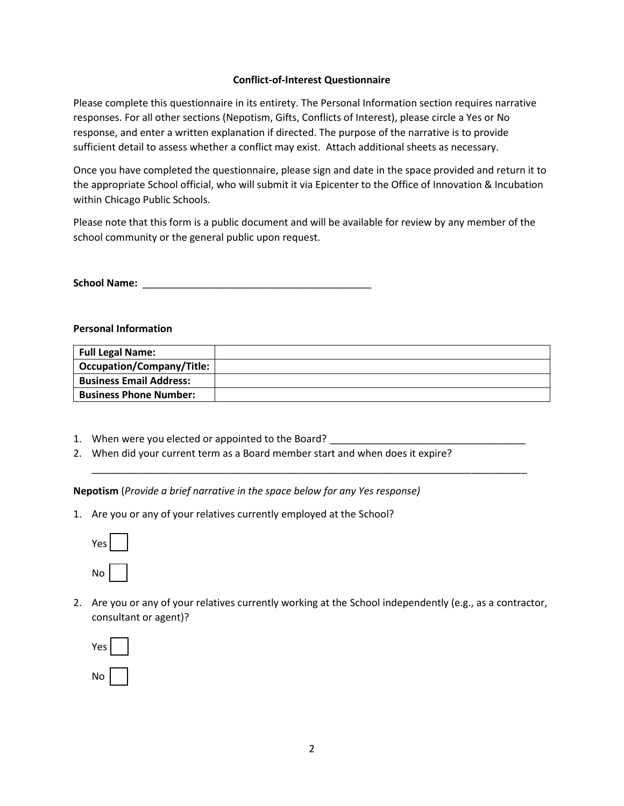# **Conflict-of-Interest Questionnaire**

Please complete this questionnaire in its entirety. The Personal Information section requires narrative responses. For all other sections (Nepotism, Gifts, Conflicts of Interest), please circle a Yes or No response, and enter a written explanation if directed. The purpose of the narrative is to provide sufficient detail to assess whether a conflict may exist. Attach additional sheets as necessary.

Once you have completed the questionnaire, please sign and date in the space provided and return it to the appropriate School official, who will submit it via Epicenter to the Office of Innovation & Incubation within Chicago Public Schools.

Please note that this form is a public document and will be available for review by any member of the school community or the general public upon request.

**School Name:** \_\_\_\_\_\_\_\_\_\_\_\_\_\_\_\_\_\_\_\_\_\_\_\_\_\_\_\_\_\_\_\_\_\_\_\_\_\_\_\_\_

#### **Personal Information**

| <b>Full Legal Name:</b>        |  |
|--------------------------------|--|
| Occupation/Company/Title:      |  |
| <b>Business Email Address:</b> |  |
| <b>Business Phone Number:</b>  |  |

\_\_\_\_\_\_\_\_\_\_\_\_\_\_\_\_\_\_\_\_\_\_\_\_\_\_\_\_\_\_\_\_\_\_\_\_\_\_\_\_\_\_\_\_\_\_\_\_\_\_\_\_\_\_\_\_\_\_\_\_\_\_\_\_\_\_\_\_\_\_\_\_\_\_\_\_\_\_

- 1. When were you elected or appointed to the Board? \_\_\_\_\_\_\_\_\_\_\_\_\_\_\_\_\_\_\_\_\_\_\_\_\_\_\_\_
- 2. When did your current term as a Board member start and when does it expire?

**Nepotism** (*Provide a brief narrative in the space below for any Yes response)*

1. Are you or any of your relatives currently employed at the School?



2. Are you or any of your relatives currently working at the School independently (e.g., as a contractor, consultant or agent)?

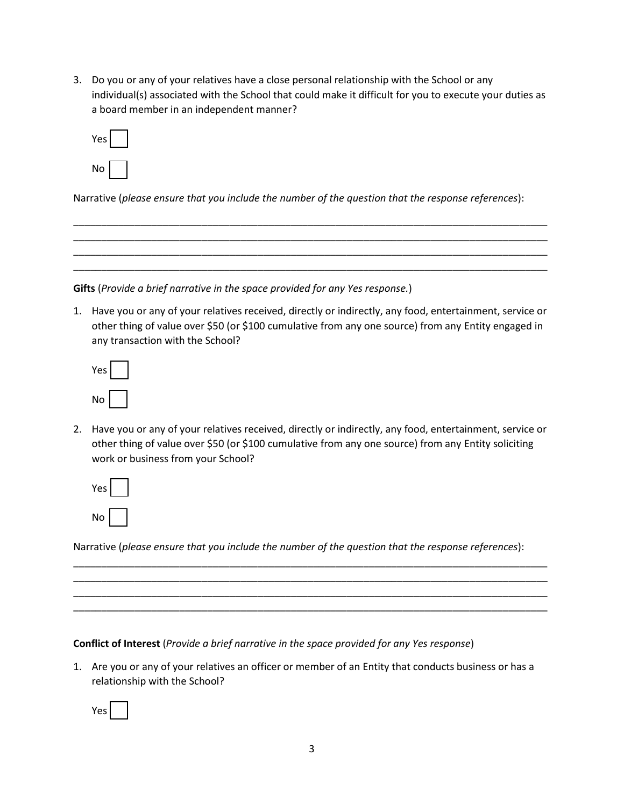3. Do you or any of your relatives have a close personal relationship with the School or any individual(s) associated with the School that could make it difficult for you to execute your duties as a board member in an independent manner?

| 'es l<br>Y |  |
|------------|--|
| No         |  |

Narrative (*please ensure that you include the number of the question that the response references*):

\_\_\_\_\_\_\_\_\_\_\_\_\_\_\_\_\_\_\_\_\_\_\_\_\_\_\_\_\_\_\_\_\_\_\_\_\_\_\_\_\_\_\_\_\_\_\_\_\_\_\_\_\_\_\_\_\_\_\_\_\_\_\_\_\_\_\_\_\_\_\_\_\_\_\_\_\_\_\_\_\_\_\_\_\_ \_\_\_\_\_\_\_\_\_\_\_\_\_\_\_\_\_\_\_\_\_\_\_\_\_\_\_\_\_\_\_\_\_\_\_\_\_\_\_\_\_\_\_\_\_\_\_\_\_\_\_\_\_\_\_\_\_\_\_\_\_\_\_\_\_\_\_\_\_\_\_\_\_\_\_\_\_\_\_\_\_\_\_\_\_ \_\_\_\_\_\_\_\_\_\_\_\_\_\_\_\_\_\_\_\_\_\_\_\_\_\_\_\_\_\_\_\_\_\_\_\_\_\_\_\_\_\_\_\_\_\_\_\_\_\_\_\_\_\_\_\_\_\_\_\_\_\_\_\_\_\_\_\_\_\_\_\_\_\_\_\_\_\_\_\_\_\_\_\_\_ \_\_\_\_\_\_\_\_\_\_\_\_\_\_\_\_\_\_\_\_\_\_\_\_\_\_\_\_\_\_\_\_\_\_\_\_\_\_\_\_\_\_\_\_\_\_\_\_\_\_\_\_\_\_\_\_\_\_\_\_\_\_\_\_\_\_\_\_\_\_\_\_\_\_\_\_\_\_\_\_\_\_\_\_\_

**Gifts** (*Provide a brief narrative in the space provided for any Yes response.*)

1. Have you or any of your relatives received, directly or indirectly, any food, entertainment, service or other thing of value over \$50 (or \$100 cumulative from any one source) from any Entity engaged in any transaction with the School?

| es |  |
|----|--|
| No |  |

2. Have you or any of your relatives received, directly or indirectly, any food, entertainment, service or other thing of value over \$50 (or \$100 cumulative from any one source) from any Entity soliciting work or business from your School?

| Yes |  |
|-----|--|
| No  |  |

Narrative (*please ensure that you include the number of the question that the response references*):

\_\_\_\_\_\_\_\_\_\_\_\_\_\_\_\_\_\_\_\_\_\_\_\_\_\_\_\_\_\_\_\_\_\_\_\_\_\_\_\_\_\_\_\_\_\_\_\_\_\_\_\_\_\_\_\_\_\_\_\_\_\_\_\_\_\_\_\_\_\_\_\_\_\_\_\_\_\_\_\_\_\_\_\_\_ \_\_\_\_\_\_\_\_\_\_\_\_\_\_\_\_\_\_\_\_\_\_\_\_\_\_\_\_\_\_\_\_\_\_\_\_\_\_\_\_\_\_\_\_\_\_\_\_\_\_\_\_\_\_\_\_\_\_\_\_\_\_\_\_\_\_\_\_\_\_\_\_\_\_\_\_\_\_\_\_\_\_\_\_\_ \_\_\_\_\_\_\_\_\_\_\_\_\_\_\_\_\_\_\_\_\_\_\_\_\_\_\_\_\_\_\_\_\_\_\_\_\_\_\_\_\_\_\_\_\_\_\_\_\_\_\_\_\_\_\_\_\_\_\_\_\_\_\_\_\_\_\_\_\_\_\_\_\_\_\_\_\_\_\_\_\_\_\_\_\_ \_\_\_\_\_\_\_\_\_\_\_\_\_\_\_\_\_\_\_\_\_\_\_\_\_\_\_\_\_\_\_\_\_\_\_\_\_\_\_\_\_\_\_\_\_\_\_\_\_\_\_\_\_\_\_\_\_\_\_\_\_\_\_\_\_\_\_\_\_\_\_\_\_\_\_\_\_\_\_\_\_\_\_\_\_

**Conflict of Interest** (*Provide a brief narrative in the space provided for any Yes response*)

1. Are you or any of your relatives an officer or member of an Entity that conducts business or has a relationship with the School?

Yes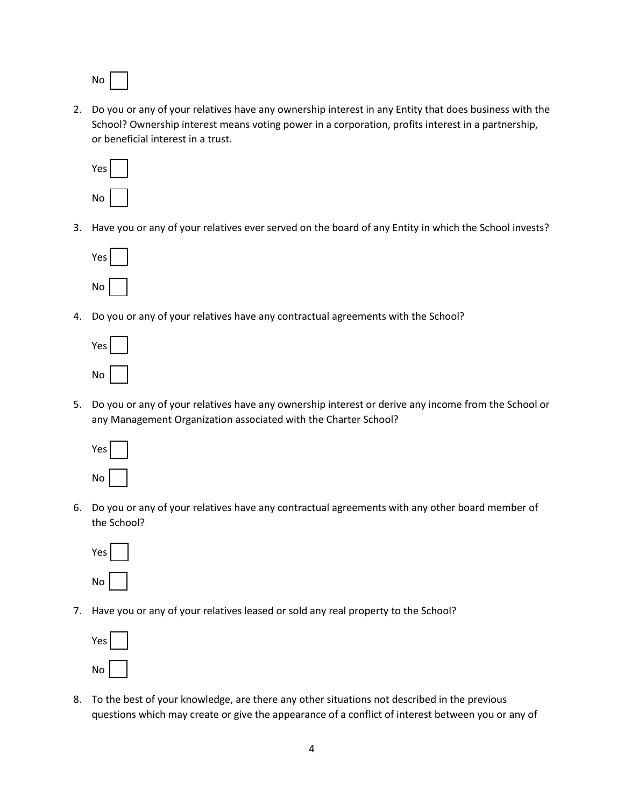No

2. Do you or any of your relatives have any ownership interest in any Entity that does business with the School? Ownership interest means voting power in a corporation, profits interest in a partnership, or beneficial interest in a trust.



3. Have you or any of your relatives ever served on the board of any Entity in which the School invests?



4. Do you or any of your relatives have any contractual agreements with the School?



5. Do you or any of your relatives have any ownership interest or derive any income from the School or any Management Organization associated with the Charter School?



6. Do you or any of your relatives have any contractual agreements with any other board member of the School?



7. Have you or any of your relatives leased or sold any real property to the School?



8. To the best of your knowledge, are there any other situations not described in the previous questions which may create or give the appearance of a conflict of interest between you or any of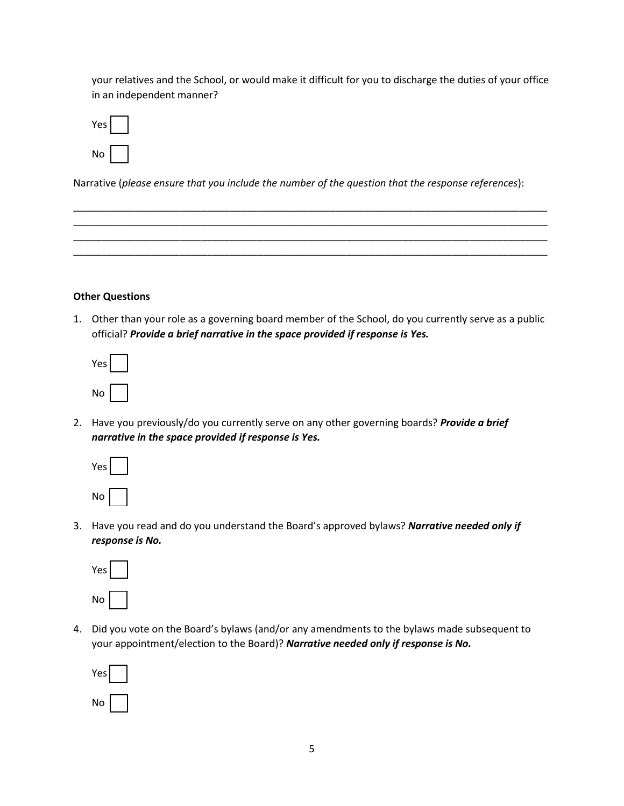your relatives and the School, or would make it difficult for you to discharge the duties of your office in an independent manner?



Narrative (*please ensure that you include the number of the question that the response references*):

\_\_\_\_\_\_\_\_\_\_\_\_\_\_\_\_\_\_\_\_\_\_\_\_\_\_\_\_\_\_\_\_\_\_\_\_\_\_\_\_\_\_\_\_\_\_\_\_\_\_\_\_\_\_\_\_\_\_\_\_\_\_\_\_\_\_\_\_\_\_\_\_\_\_\_\_\_\_\_\_\_\_\_\_\_ \_\_\_\_\_\_\_\_\_\_\_\_\_\_\_\_\_\_\_\_\_\_\_\_\_\_\_\_\_\_\_\_\_\_\_\_\_\_\_\_\_\_\_\_\_\_\_\_\_\_\_\_\_\_\_\_\_\_\_\_\_\_\_\_\_\_\_\_\_\_\_\_\_\_\_\_\_\_\_\_\_\_\_\_\_ \_\_\_\_\_\_\_\_\_\_\_\_\_\_\_\_\_\_\_\_\_\_\_\_\_\_\_\_\_\_\_\_\_\_\_\_\_\_\_\_\_\_\_\_\_\_\_\_\_\_\_\_\_\_\_\_\_\_\_\_\_\_\_\_\_\_\_\_\_\_\_\_\_\_\_\_\_\_\_\_\_\_\_\_\_ \_\_\_\_\_\_\_\_\_\_\_\_\_\_\_\_\_\_\_\_\_\_\_\_\_\_\_\_\_\_\_\_\_\_\_\_\_\_\_\_\_\_\_\_\_\_\_\_\_\_\_\_\_\_\_\_\_\_\_\_\_\_\_\_\_\_\_\_\_\_\_\_\_\_\_\_\_\_\_\_\_\_\_\_\_

#### **Other Questions**

1. Other than your role as a governing board member of the School, do you currently serve as a public official? *Provide a brief narrative in the space provided if response is Yes.*

| es<br>I |  |
|---------|--|
| No      |  |

2. Have you previously/do you currently serve on any other governing boards? *Provide a brief narrative in the space provided if response is Yes.*

| Yes |  |  |
|-----|--|--|
| No  |  |  |

3. Have you read and do you understand the Board's approved bylaws? *Narrative needed only if response is No.*



4. Did you vote on the Board's bylaws (and/or any amendments to the bylaws made subsequent to your appointment/election to the Board)? *Narrative needed only if response is No.*